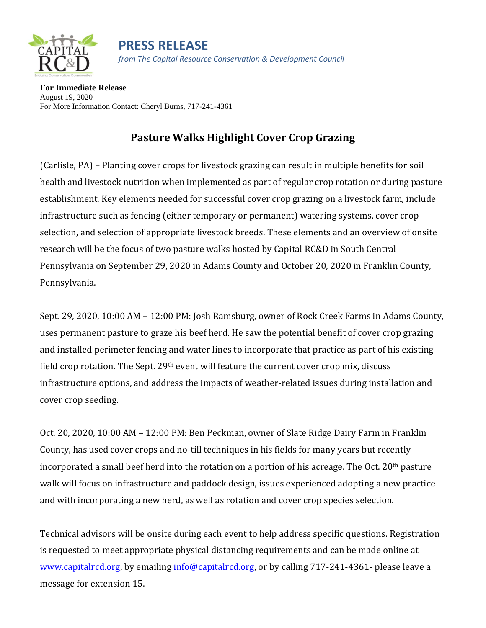

**PRESS RELEASE** *from The Capital Resource Conservation & Development Council*

**For Immediate Release** August 19, 2020 For More Information Contact: Cheryl Burns, 717-241-4361

## **Pasture Walks Highlight Cover Crop Grazing**

(Carlisle, PA) – Planting cover crops for livestock grazing can result in multiple benefits for soil health and livestock nutrition when implemented as part of regular crop rotation or during pasture establishment. Key elements needed for successful cover crop grazing on a livestock farm, include infrastructure such as fencing (either temporary or permanent) watering systems, cover crop selection, and selection of appropriate livestock breeds. These elements and an overview of onsite research will be the focus of two pasture walks hosted by Capital RC&D in South Central Pennsylvania on September 29, 2020 in Adams County and October 20, 2020 in Franklin County, Pennsylvania.

Sept. 29, 2020, 10:00 AM – 12:00 PM: Josh Ramsburg, owner of Rock Creek Farms in Adams County, uses permanent pasture to graze his beef herd. He saw the potential benefit of cover crop grazing and installed perimeter fencing and water lines to incorporate that practice as part of his existing field crop rotation. The Sept. 29<sup>th</sup> event will feature the current cover crop mix, discuss infrastructure options, and address the impacts of weather-related issues during installation and cover crop seeding.

Oct. 20, 2020, 10:00 AM – 12:00 PM: Ben Peckman, owner of Slate Ridge Dairy Farm in Franklin County, has used cover crops and no-till techniques in his fields for many years but recently incorporated a small beef herd into the rotation on a portion of his acreage. The Oct. 20<sup>th</sup> pasture walk will focus on infrastructure and paddock design, issues experienced adopting a new practice and with incorporating a new herd, as well as rotation and cover crop species selection.

Technical advisors will be onsite during each event to help address specific questions. Registration is requested to meet appropriate physical distancing requirements and can be made online at [www.capitalrcd.org,](about:blank) by emailing [info@capitalrcd.org,](about:blank) or by calling 717-241-4361- please leave a message for extension 15.